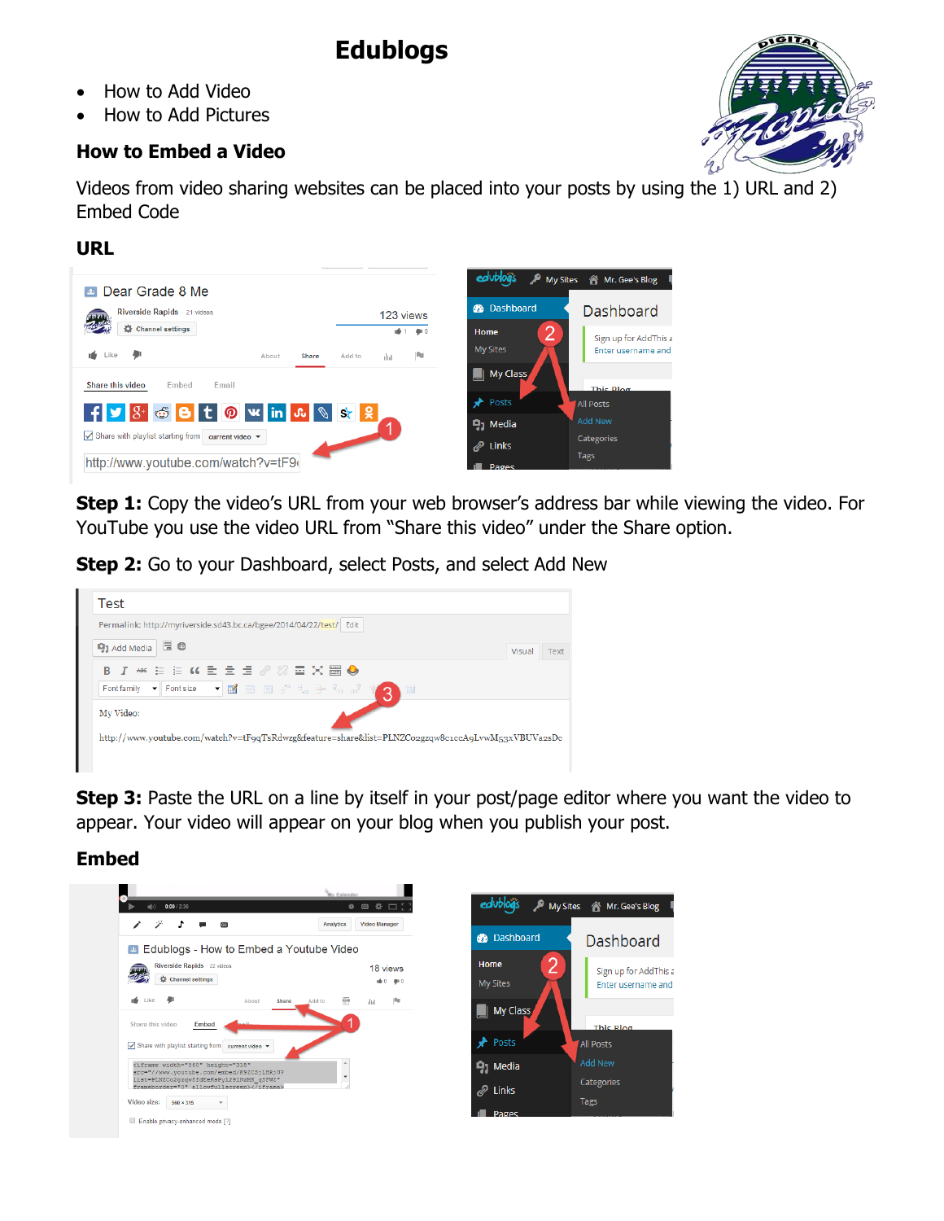# **Edublogs**

- How to Add Video
- How to Add Pictures

## **How to Embed a Video**



Videos from video sharing websites can be placed into your posts by using the 1) URL and 2) Embed Code

## **URL**

| Dear Grade 8 Me<br>$\mathbf{p}_1$                                            |                                    |       |        |             |          |                                             | ed Ublog's P My Sites & Mr. Gee's Blog      |
|------------------------------------------------------------------------------|------------------------------------|-------|--------|-------------|----------|---------------------------------------------|---------------------------------------------|
| Riverside Rapids · 21 videos                                                 |                                    |       |        | 123 views   |          | <b>R</b> Dashboard                          | Dashboard                                   |
| 舂<br><b>Channel settings</b><br>u6.<br>Like                                  | About                              | Share | Add to | uf 1<br>dul | 900<br>R | $\overline{2}$<br>Home<br><b>My Sites</b>   | Sign up for AddThis a<br>Enter username and |
| Share this video<br>Email<br>Embed                                           |                                    |       |        |             |          | My Class<br>Posts                           | This Blog<br><b>All Posts</b>               |
| F 3 8 5 8 5 1 2 3 3 3 2<br>$\triangledown$ Share with playlist starting from | current video $\blacktriangledown$ |       |        |             |          | $\mathbf{q}_1$ Media<br>$\mathscr{D}$ Links | Add New<br><b>Categories</b><br>Tags        |
| http://www.youtube.com/watch?v=tF9(                                          |                                    |       |        |             |          | Pages                                       |                                             |

**Step 1:** Copy the video's URL from your web browser's address bar while viewing the video. For YouTube you use the video URL from "Share this video" under the Share option.

**Step 2:** Go to your Dashboard, select Posts, and select Add New



**Step 3:** Paste the URL on a line by itself in your post/page editor where you want the video to appear. Your video will appear on your blog when you publish your post.

# **Embed**

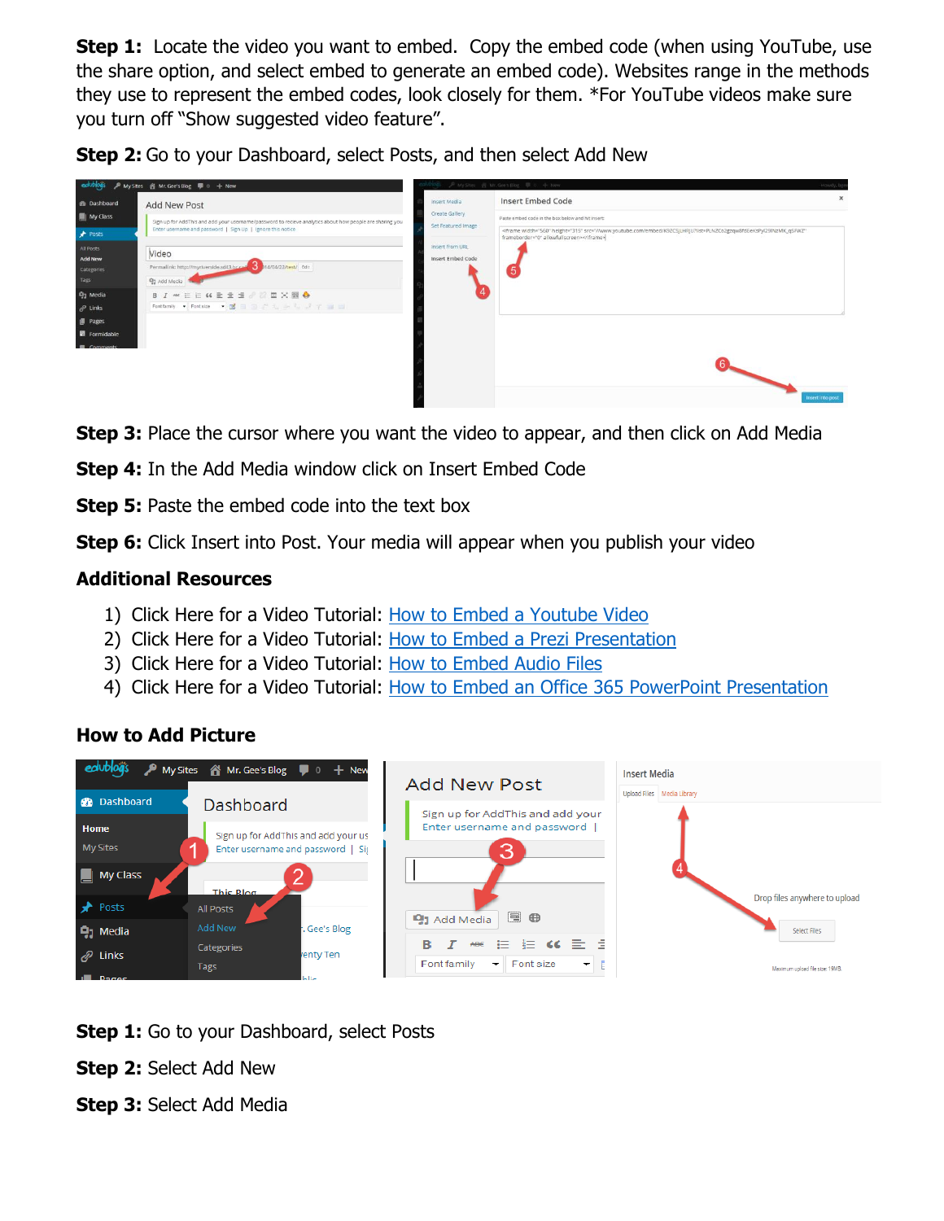**Step 1:** Locate the video you want to embed. Copy the embed code (when using YouTube, use the share option, and select embed to generate an embed code). Websites range in the methods they use to represent the embed codes, look closely for them. \*For YouTube videos make sure you turn off "Show suggested video feature".

**Step 2:** Go to your Dashboard, select Posts, and then select Add New

|                                                                                        | edublogs P My Sites 音 Mr. Gee's Blog 甲 0 + New                                                                                                                                                  |                                                                                                     | 产My Sites 图 Mr. Gee's Blog 单 0 中 New                                                                                                                                                                                                                    |                  |
|----------------------------------------------------------------------------------------|-------------------------------------------------------------------------------------------------------------------------------------------------------------------------------------------------|-----------------------------------------------------------------------------------------------------|---------------------------------------------------------------------------------------------------------------------------------------------------------------------------------------------------------------------------------------------------------|------------------|
| <b>B</b> Dashboard<br>My Class<br>Posts<br>All Posts<br><b>Add New</b>                 | Add New Post<br>Sign up for AddThis and add your username/password to recieve analytics about how people are sharing you<br>Enter username and password   Sign Up   Ignore this notice<br>Video | Insert Media<br>Create Gallery<br>Set Featured Image<br>Insert from URL<br><b>Insert Embed Code</b> | <b>Insert Embed Code</b><br>Paste embed code in the box below and hit insert:<br><iframe <br="" height="315" src="//www.youtube.com/embed/K9ZCSjLHRjU?list=PLNZCo2gzqw8fdEeKsPyi29lNzMK_qSFWZ" width="560">frameborder="0" allowfullscreen&gt;</iframe> |                  |
| Categories<br>Tags<br><b>Q<sub>1</sub></b> Media<br>$e^{\rho}$ Links<br><b>I</b> Pages | Permalink: http://myriverside.sd43.br.ca4 3 b14/04/22/test/ Edit<br>93 Add Media<br>B J = E E K E = E 2 2 = X = 0<br>Fontfamily + Fontsize + 2 = 3 = 1, + 1, + 7 = =                            |                                                                                                     | $\sqrt{5}$                                                                                                                                                                                                                                              |                  |
| Formidable<br><b>III</b> Comments                                                      |                                                                                                                                                                                                 |                                                                                                     |                                                                                                                                                                                                                                                         | Insert into post |

**Step 3:** Place the cursor where you want the video to appear, and then click on Add Media

**Step 4:** In the Add Media window click on Insert Embed Code

**Step 5:** Paste the embed code into the text box

**Step 6:** Click Insert into Post. Your media will appear when you publish your video

## **Additional Resources**

- 1) Click Here for a Video Tutorial: [How to Embed a Youtube Video](https://www.youtube.com/watch?v=K9ZCSjLHRjU)
- 2) Click Here for a Video Tutorial: [How to Embed a Prezi Presentation](http://youtu.be/mvABmlHXTX8)
- 3) Click Here for a Video Tutorial: [How to Embed Audio Files](http://www.youtube.com/watch?v=jR8CQVPEBU0&list=PLNZCo2gzqw8fdEeKsPyl29lNzMK_qSFWZ&feature=share&index=3)
- 4) Click Here for a Video Tutorial: [How to Embed an Office 365 PowerPoint Presentation](http://youtu.be/WOJ7vc-Owa4)

# **How to Add Picture**



**Step 1:** Go to your Dashboard, select Posts

**Step 2:** Select Add New

**Step 3:** Select Add Media